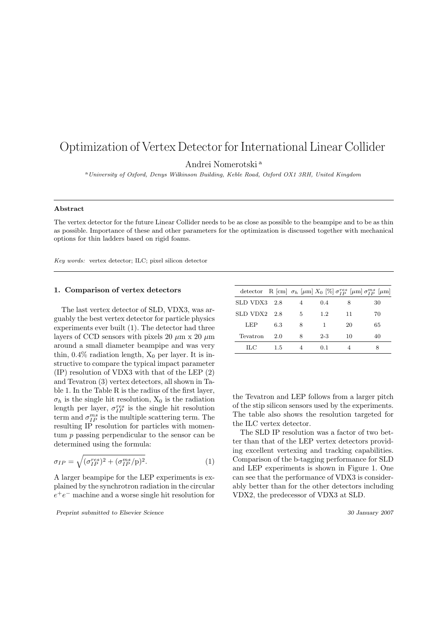# Optimization of Vertex Detector for International Linear Collider

Andrei Nomerotski <sup>a</sup>

<sup>a</sup>University of Oxford, Denys Wilkinson Building, Keble Road, Oxford OX1 3RH, United Kingdom

# Abstract

The vertex detector for the future Linear Collider needs to be as close as possible to the beampipe and to be as thin as possible. Importance of these and other parameters for the optimization is discussed together with mechanical options for thin ladders based on rigid foams.

Key words: vertex detector; ILC; pixel silicon detector

# 1. Comparison of vertex detectors

The last vertex detector of SLD, VDX3, was arguably the best vertex detector for particle physics experiments ever built (1). The detector had three layers of CCD sensors with pixels 20  $\mu$ m x 20  $\mu$ m around a small diameter beampipe and was very thin,  $0.4\%$  radiation length,  $X_0$  per layer. It is instructive to compare the typical impact parameter (IP) resolution of VDX3 with that of the LEP (2) and Tevatron (3) vertex detectors, all shown in Table 1. In the Table R is the radius of the first layer,  $\sigma_h$  is the single hit resolution,  $X_0$  is the radiation length per layer,  $\sigma_{IP}^{res}$  is the single hit resolution term and  $\sigma_{IP}^{ms}$  is the multiple scattering term. The resulting IP resolution for particles with momentum p passing perpendicular to the sensor can be determined using the formula:

$$
\sigma_{IP} = \sqrt{(\sigma_{IP}^{res})^2 + (\sigma_{IP}^{ms}/p)^2}.
$$
 (1)

A larger beampipe for the LEP experiments is explained by the synchrotron radiation in the circular  $e^+e^-$  machine and a worse single hit resolution for

Preprint submitted to Elsevier Science 30 January 2007

|                  |     |                |         |    | detector R [cm] $\sigma_h$ [ $\mu$ m] $X_0$ [%] $\sigma_{IP}^{res}$ [ $\mu$ m] $\sigma_{IP}^{ms}$ [ $\mu$ m] |
|------------------|-----|----------------|---------|----|--------------------------------------------------------------------------------------------------------------|
| SLD VDX3 2.8     |     | $\overline{4}$ | 0.4     | 8  | 30                                                                                                           |
| $SLD$ VDX2 $2.8$ |     | 5.             | 1.2.    | 11 | 70                                                                                                           |
| LEP              | 6.3 | 8              | 1.      | 20 | 65                                                                                                           |
| Tevatron         | 2.0 | 8              | $2 - 3$ | 10 | 40                                                                                                           |
| HС               | 1.5 |                | 0.1     |    |                                                                                                              |

the Tevatron and LEP follows from a larger pitch of the stip silicon sensors used by the experiments. The table also shows the resolution targeted for the ILC vertex detector.

The SLD IP resolution was a factor of two better than that of the LEP vertex detectors providing excellent vertexing and tracking capabilities. Comparison of the b-tagging performance for SLD and LEP experiments is shown in Figure 1. One can see that the performance of VDX3 is considerably better than for the other detectors including VDX2, the predecessor of VDX3 at SLD.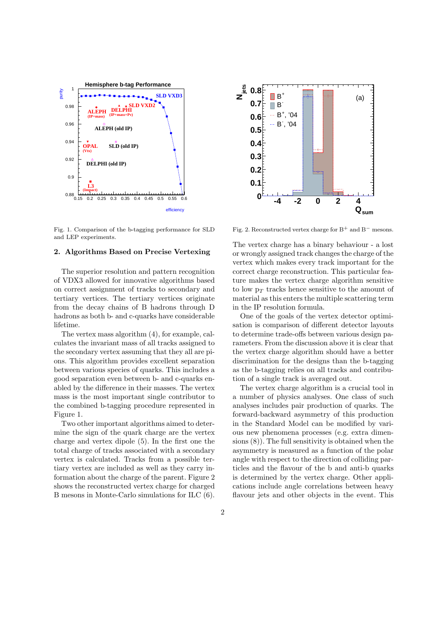

Fig. 1. Comparison of the b-tagging performance for SLD and LEP experiments.

## 2. Algorithms Based on Precise Vertexing

The superior resolution and pattern recognition of VDX3 allowed for innovative algorithms based on correct assignment of tracks to secondary and tertiary vertices. The tertiary vertices originate from the decay chains of B hadrons through D hadrons as both b- and c-quarks have considerable lifetime.

The vertex mass algorithm (4), for example, calculates the invariant mass of all tracks assigned to the secondary vertex assuming that they all are pions. This algorithm provides excellent separation between various species of quarks. This includes a good separation even between b- and c-quarks enabled by the difference in their masses. The vertex mass is the most important single contributor to the combined b-tagging procedure represented in Figure 1.

Two other important algorithms aimed to determine the sign of the quark charge are the vertex charge and vertex dipole (5). In the first one the total charge of tracks associated with a secondary vertex is calculated. Tracks from a possible tertiary vertex are included as well as they carry information about the charge of the parent. Figure 2 shows the reconstructed vertex charge for charged B mesons in Monte-Carlo simulations for ILC (6).



Fig. 2. Reconstructed vertex charge for  $B^+$  and  $B^-$  mesons.

The vertex charge has a binary behaviour - a lost or wrongly assigned track changes the charge of the vertex which makes every track important for the correct charge reconstruction. This particular feature makes the vertex charge algorithm sensitive to low  $p_T$  tracks hence sensitive to the amount of material as this enters the multiple scattering term in the IP resolution formula.

One of the goals of the vertex detector optimisation is comparison of different detector layouts to determine trade-offs between various design parameters. From the discussion above it is clear that the vertex charge algorithm should have a better discrimination for the designs than the b-tagging as the b-tagging relies on all tracks and contribution of a single track is averaged out.

The vertex charge algorithm is a crucial tool in a number of physics analyses. One class of such analyses includes pair production of quarks. The forward-backward asymmetry of this production in the Standard Model can be modified by various new phenomena processes (e.g. extra dimensions (8)). The full sensitivity is obtained when the asymmetry is measured as a function of the polar angle with respect to the direction of colliding particles and the flavour of the b and anti-b quarks is determined by the vertex charge. Other applications include angle correlations between heavy flavour jets and other objects in the event. This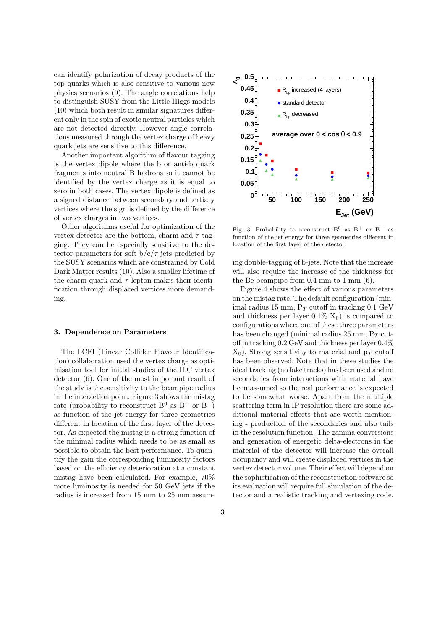can identify polarization of decay products of the top quarks which is also sensitive to various new physics scenarios (9). The angle correlations help to distinguish SUSY from the Little Higgs models (10) which both result in similar signatures different only in the spin of exotic neutral particles which are not detected directly. However angle correlations measured through the vertex charge of heavy quark jets are sensitive to this difference.

Another important algorithm of flavour tagging is the vertex dipole where the b or anti-b quark fragments into neutral B hadrons so it cannot be identified by the vertex charge as it is equal to zero in both cases. The vertex dipole is defined as a signed distance between secondary and tertiary vertices where the sign is defined by the difference of vertex charges in two vertices.

Other algorithms useful for optimization of the vertex detector are the bottom, charm and  $\tau$  tagging. They can be especially sensitive to the detector parameters for soft  $b/c/\tau$  jets predicted by the SUSY scenarios which are constrained by Cold Dark Matter results (10). Also a smaller lifetime of the charm quark and  $\tau$  lepton makes their identification through displaced vertices more demanding.

#### 3. Dependence on Parameters

The LCFI (Linear Collider Flavour Identification) collaboration used the vertex charge as optimisation tool for initial studies of the ILC vertex detector (6). One of the most important result of the study is the sensitivity to the beampipe radius in the interaction point. Figure 3 shows the mistag rate (probability to reconstruct B<sup>0</sup> as B<sup>+</sup> or B<sup>-</sup>) as function of the jet energy for three geometries different in location of the first layer of the detector. As expected the mistag is a strong function of the minimal radius which needs to be as small as possible to obtain the best performance. To quantify the gain the corresponding luminosity factors based on the efficiency deterioration at a constant mistag have been calculated. For example, 70% more luminosity is needed for 50 GeV jets if the radius is increased from 15 mm to 25 mm assum-



Fig. 3. Probability to reconstruct B<sup>0</sup> as B<sup>+</sup> or B<sup>-</sup> as function of the jet energy for three geometries different in location of the first layer of the detector.

ing double-tagging of b-jets. Note that the increase will also require the increase of the thickness for the Be beampipe from 0.4 mm to 1 mm (6).

Figure 4 shows the effect of various parameters on the mistag rate. The default configuration (minimal radius 15 mm,  $P_T$  cutoff in tracking 0.1 GeV and thickness per layer  $0.1\%$   $X_0$ ) is compared to configurations where one of these three parameters has been changed (minimal radius  $25 \text{ mm}$ ,  $P_T$  cutoff in tracking 0.2 GeV and thickness per layer 0.4%  $X_0$ ). Strong sensitivity to material and  $p_T$  cutoff has been observed. Note that in these studies the ideal tracking (no fake tracks) has been used and no secondaries from interactions with material have been assumed so the real performance is expected to be somewhat worse. Apart from the multiple scattering term in IP resolution there are some additional material effects that are worth mentioning - production of the secondaries and also tails in the resolution function. The gamma conversions and generation of energetic delta-electrons in the material of the detector will increase the overall occupancy and will create displaced vertices in the vertex detector volume. Their effect will depend on the sophistication of the reconstruction software so its evaluation will require full simulation of the detector and a realistic tracking and vertexing code.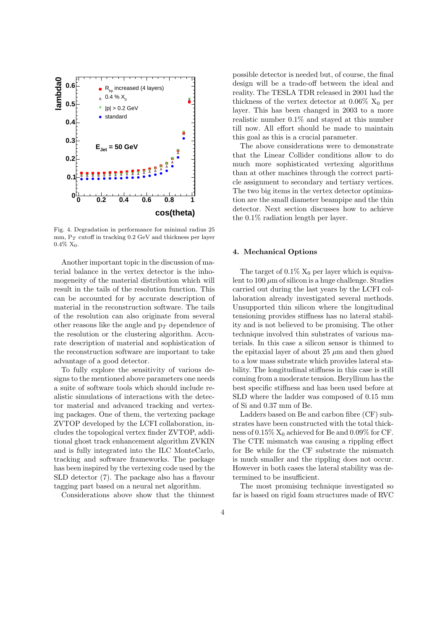

Fig. 4. Degradation in performance for minimal radius 25 mm,  $P_T$  cutoff in tracking 0.2 GeV and thickness per layer  $0.4\%$  X<sub>0</sub>.

Another important topic in the discussion of material balance in the vertex detector is the inhomogeneity of the material distribution which will result in the tails of the resolution function. This can be accounted for by accurate description of material in the reconstruction software. The tails of the resolution can also originate from several other reasons like the angle and  $p_T$  dependence of the resolution or the clustering algorithm. Accurate description of material and sophistication of the reconstruction software are important to take advantage of a good detector.

To fully explore the sensitivity of various designs to the mentioned above parameters one needs a suite of software tools which should include realistic simulations of interactions with the detector material and advanced tracking and vertexing packages. One of them, the vertexing package ZVTOP developed by the LCFI collaboration, includes the topological vertex finder ZVTOP, additional ghost track enhancement algorithm ZVKIN and is fully integrated into the ILC MonteCarlo, tracking and software frameworks. The package has been inspired by the vertexing code used by the SLD detector (7). The package also has a flavour tagging part based on a neural net algorithm.

Considerations above show that the thinnest

possible detector is needed but, of course, the final design will be a trade-off between the ideal and reality. The TESLA TDR released in 2001 had the thickness of the vertex detector at  $0.06\%$  X<sub>0</sub> per layer. This has been changed in 2003 to a more realistic number 0.1% and stayed at this number till now. All effort should be made to maintain this goal as this is a crucial parameter.

The above considerations were to demonstrate that the Linear Collider conditions allow to do much more sophisticated vertexing algorithms than at other machines through the correct particle assignment to secondary and tertiary vertices. The two big items in the vertex detector optimization are the small diameter beampipe and the thin detector. Next section discusses how to achieve the 0.1% radiation length per layer.

## 4. Mechanical Options

The target of  $0.1\%$  X<sub>0</sub> per layer which is equivalent to  $100 \mu m$  of silicon is a huge challenge. Studies carried out during the last years by the LCFI collaboration already investigated several methods. Unsupported thin silicon where the longitudinal tensioning provides stiffness has no lateral stability and is not believed to be promising. The other technique involved thin substrates of various materials. In this case a silicon sensor is thinned to the epitaxial layer of about 25  $\mu$ m and then glued to a low mass substrate which provides lateral stability. The longitudinal stiffness in this case is still coming from a moderate tension. Beryllium has the best specific stiffness and has been used before at SLD where the ladder was composed of 0.15 mm of Si and 0.37 mm of Be.

Ladders based on Be and carbon fibre (CF) substrates have been constructed with the total thickness of  $0.15\%$   $X_0$  achieved for Be and  $0.09\%$  for CF. The CTE mismatch was causing a rippling effect for Be while for the CF substrate the mismatch is much smaller and the rippling does not occur. However in both cases the lateral stability was determined to be insufficient.

The most promising technique investigated so far is based on rigid foam structures made of RVC